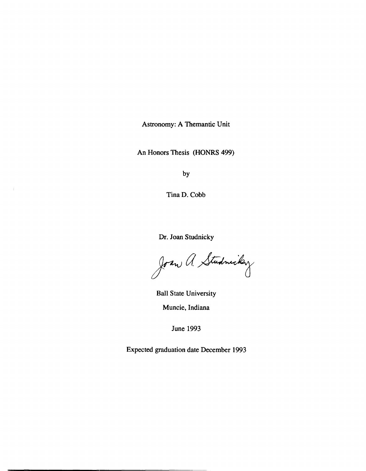Astronomy: A Themantic Unit

An Honors Thesis (HONRS 499)

by

TinaD. Cobb

 $\bar{\lambda}$ 

Dr. Joan Studnicky

Joan a. Studmicky

Ball State University Muncie, Indiana

June 1993

Expected graduation date December 1993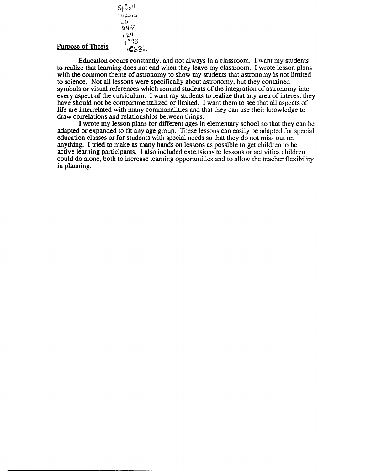## Purpose of Thesis

LD 2489  $\frac{24}{193}$ 

 $S_{f}C_{2}$ 11 ...<br>∩nesis

 $-632$ 

Education occurs constantly, and not always in a classroom. I want my students to realize that learning does not end when they leave my classroom. I wrote lesson plans with the common theme of astronomy to show my students that astronomy is not limited to science. Not all lessons were specifically about astronomy, but they contained symbols or visual references which remind students of the integration of astronomy into every aspect of the curriculum. I want my students to realize that any area of interest they have should not be compartmentalized or limited. I want them to see that all aspects of life are interrelated with many commonalities and that they can use their knowledge to draw correlations and relationships between things.

I wrote my lesson plans for different ages in elementary school so that they can be adapted or expanded to fit any age group. These lessons can easily be adapted for special education classes or for students with special needs so that they do not miss out on anything. I tried to make as many hands on lessons as possible to get children to be active learning participants. I also included extensions to lessons or activities children could do alone, both to increase learning opportunities and to allow the teacher flexibility in planning.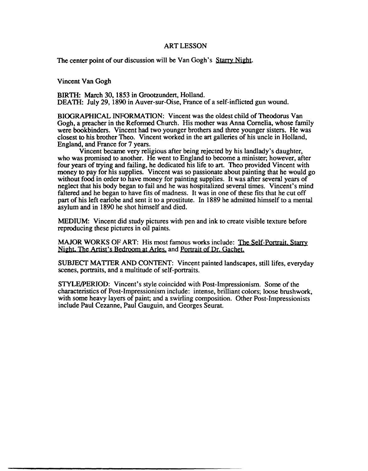## ART LESSON

The center point of our discussion will be Van Gogh's Starry Night.

Vincent Van Gogh

BIRTH: March 30, 1853 in Grootzundert, Holland. DEATH: July 29, 1890 in Auver-sur-Oise, France of a self-inflicted gun wound.

BIOGRAPHICAL INFORMATION: Vincent was the oldest child of Theodorus Van Gogh, a preacher in the Refonned Church. His mother was Anna Cornelia, whose family were bookbinders. Vincent had two younger brothers and three younger sisters. He was closest to his brother Theo. Vincent worked in the art galleries of his uncle in Holland, England, and France for 7 years.

Vincent became very religious after being rejected by his landlady's daughter, who was promised to another. He went to England to become a minister; however, after four years of trying and failing, he dedicated his life to art. Theo provided Vincent with money to pay for his supplies. Vincent was so passionate about painting that he would go without food in order to have money for painting supplies. It was after several years of neglect that his body began to fail and he was hospitalized several times. Vincent's mind faltered and he began to have fits of madness. It was in one of these fits that he cut off part of his left earlobe and sent it to a prostitute. In 1889 he admitted himself to a mental asylum and in 1890 he shot himself and died.

MEDIUM: Vincent did study pictures with pen and ink to create visible texture before reproducing these pictures in oil paints.

MAJOR WORKS OF ART: His most famous works include: The Self-Portrait. Starry Night. The Artist's Bedroom at Arles, and Portrait of Dr. Gachet.

SUBJECT MATTER AND CONTENT: Vincent painted landscapes, stilllifes, everyday scenes, portraits, and a multitude of self-portraits.

STYLE/PERIOD: Vincent's style coincided with Post-Impressionism. Some of the characteristics of Post-Impressionism include: intense, brilliant colors; loose brushwork, with some heavy layers of paint; and a swirling composition. Other Post-Impressionists include Paul Cezanne, Paul Gauguin, and Georges Seurat.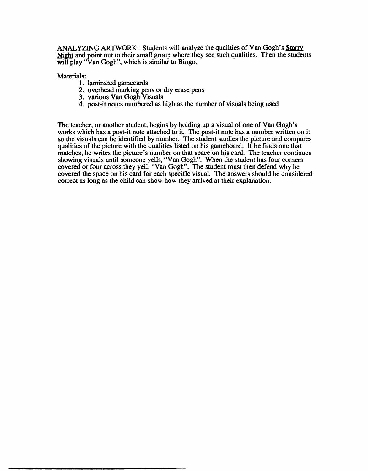ANALYZING ARTWORK: Students will analyze the qualities of Van Gogh's Starry Night and point out to their small group where they see such qualities. Then the students will play "Van Gogh", which is similar to Bingo.

Materials:

- 1. laminated gamecards
- 2. overhead marking pens or dry erase pens
- 3. various Van Gogh Visuals
- 4. post-it notes numbered as high as the number of visuals being used

The teacher, or another student, begins by holding up a visual of one of Van Gogh's works which has a post-it note attached to it. The post-it note has a number written on it so the visuals can be identified by number. The student studies the picture and compares qualities of the picture with the qualities listed on his gameboard. If he finds one that matches, he writes the picture's number on that space on his card. The teacher continues showing visuals until someone yells, "Van Gogh". When the student has four corners covered or four across they yell, "Van Gogh". The student must then defend why he covered the space on his card for each specific visual. The answers should be considered correct as long as the child can show how they arrived at their explanation.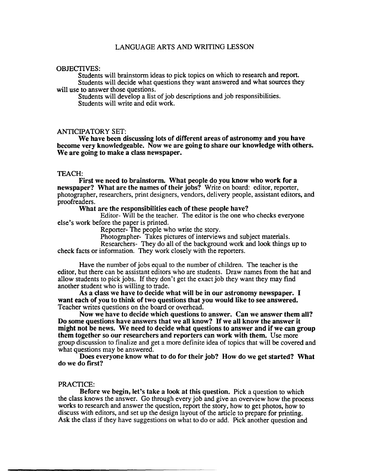## LANGUAGE ARTS AND WRITING LESSON

#### OBJECTIVES:

Students will brainstorm ideas to pick topics on which to research and report. Students will decide what questions they want answered and what sources they will use to answer those questions.

Students will develop a list of job descriptions and job responsibilities. Students will write and edit work.

### ANTICIPATORY SET:

We have been discussing lots of different areas of astronomy and you have become very knowledgeable. Now we are going to share our knowledge with others. We are going to make a class newspaper.

#### TEACH:

First we need to brainstorm. What people do you know who work for a newspaper? What are the names of their jobs? Write on board: editor, reporter, photographer, researchers, print designers, vendors, delivery people, assistant editors, and proofreaders.

What are the responsibilities each of these people have?

Editor- Will be the teacher. The editor is the one who checks everyone else's work before the paper is printed.

Reporter- The people who write the story.

Photographer- Takes pictures of interviews and subject materials.

Researchers- They do all of the background work and look things up to check facts or infonnation. They work closely with the reporters.

Have the number of jobs equal to the number of children. The teacher is the editor, but there can be assistant editors who are students. Draw names from the hat and allow students to pick jobs. If they don't get the exact job they want they may find another student who is willing to trade.

As a class we have to decide what will be in our astronomy newspaper. I want each of you to think of two questions that you would like to see answered. Teacher writes questions on the board or overhead.

Now we have to decide which questions to answer. Can we answer them all? Do some questions have answers that we all know? If we all know the answer it might not be news. We need to decide what questions to answer and if we can group them together so our researchers and reporters can work with them. Use more group discussion to finalize and get a more definite idea of topics that will be covered and what questions may be answered.

Does everyone know what to do for their job? How do we get started? What do we do first?

## PRACTICE:

Before we begin, let's take a look at this question. Pick a question to which the class knows the answer. Go through every job and give an overview how the process works to research and answer the question, report the story, how to get photos, how to discuss with editors, and set up the design layout of the article to prepare for printing. Ask the class if they have suggestions on what to do or add. Pick another question and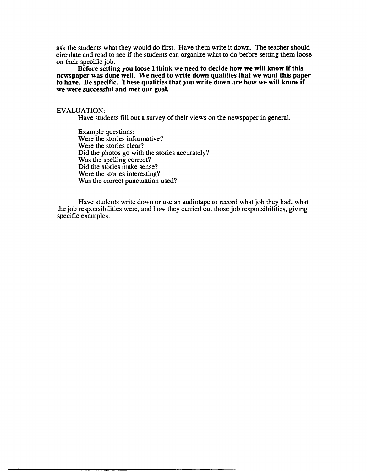ask the students what they would do first. Have them write it down. The teacher should circulate and read to see if the students can organize what to do before setting them loose on their specific job.

Before setting you loose I think we need to decide how we will know if this newspaper was done well. We need to write down qualities that we want this paper to have. Be specific. These qualities that you write down are how we will know if we were successful and met our goal.

### EVALUATION:

Have students fill out a survey of their views on the newspaper in general.

Example questions: Were the stories informative? Were the stories clear? Did the photos go with the stories accurately? Was the spelling correct? Did the stories make sense? Were the stories interesting? Was the correct punctuation used?

Have students write down or use an audiotape to record what job they had, what the job responsibilities were, and how they carried out those job responsibilities, giving specific examples.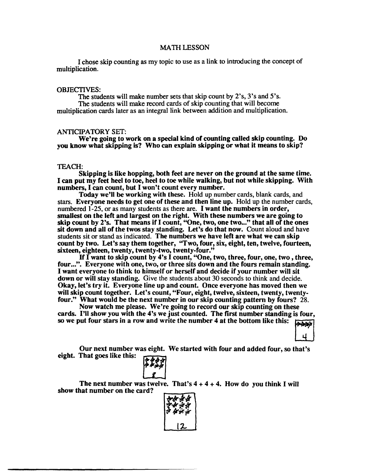### MATH LESSON

I chose skip counting as my topic to use as a link to introducing the concept of multiplication.

#### OBJECTIVES:

The students will make number sets that skip count by 2's, 3's and 5's. The students will make record cards of skip counting that will become multiplication cards later as an integral link between addition and multiplication.

## ANTICIPATORY SET:

We're going to work on a special kind of counting called skip counting. Do you know what skipping is? Who can explain skipping or what it means to skip?

## TEACH:

Skipping is like hopping, both feet are never on the ground at the same time. I can put my feet heel to toe, heel to toe while walking, but not while skipping. With numbers, I can count, but I won't count every number.

Today we'll be working with these. Hold up number cards, blank cards, and stars. Everyone needs to get one of these and then line up. Hold up the number cards, numbered 1-25, or as many students as there are. I want the numbers in order, smallest on the left and largest on the right. With these numbers we are going to skip count by 2's. That means if I count, "One, two, one two..." that all of the ones sit down and all of the twos stay standing. Let's do that now. Count aloud and have students sit or stand as indicated. The numbers we have left are what we can skip count by two. Let's say them together, "Two, four, six, eight, ten, twelve, fourteen, sixteen, eighteen, twenty, twenty-two, twenty-four."

If  $\overline{I}$  want to skip count by 4's  $\overline{I}$  count, "One, two, three, four, one, two, three, four...". Everyone with one, two, or three sits down and the fours remain standing. I want everyone to think to himself or herself and decide if your number will sit down or will stay standing. Give the students about 30 seconds to think and decide. Okay, let's try it. Everyone line up and count. Once everyone has moved then we will skip count together. Let's count, "Four, eight, twelve, sixteen, twenty, twentyfour." What would be the next number in our skip counting pattern by fours? 28.

Now watch me please. We're going to record our skip counting on these cards. I'll show you with the 4's we just counted. The first number standing is four, so we put four stars in a row and write the number 4 at the bottom like this:

Our next number was eight. We started with four and added four, so that's eight. That goes like this:



The next number was twelve. That's  $4 + 4 + 4$ . How do you think I will show that number on the card?

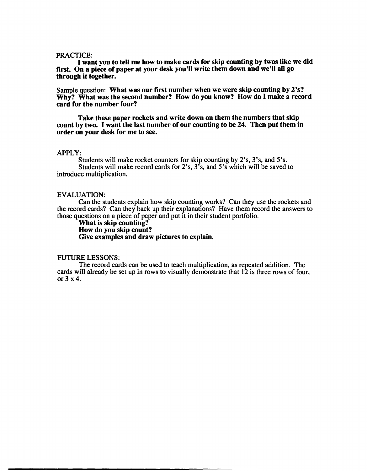### PRACTICE:

I want you to tell me how to make cards for skip counting by twos like we did first. On a piece of paper at your desk you'll write them down and we'll all go through it together.

Sample question: What was our first number when we were skip counting by 2's? Why? What was the second number? How do you know? How do I make a record card for the number four?

Take these paper rockets and write down on them the numbers that skip count by two. I want the last number of our counting to be 24. Then put them in order on your desk for me to see.

#### APPLY:

Students will make rocket counters for skip counting by 2's, 3's, and 5's. Students will make record cards for 2's, 3's, and 5's which will be saved to introduce multiplication.

### EVALUATION:

Can the students explain how skip counting works? Can they use the rockets and the record cards? Can they back up their explanations? Have them record the answers to those questions on a piece of paper and put it in their student portfolio.

What is skip counting? How do you skip count? Give examples and draw pictures to explain.

## FUTURE LESSONS:

The record cards can be used to teach multiplication, as repeated addition. The cards will already be set up in rows to visually demonstrate that 12 is three rows of four, or 3 x 4.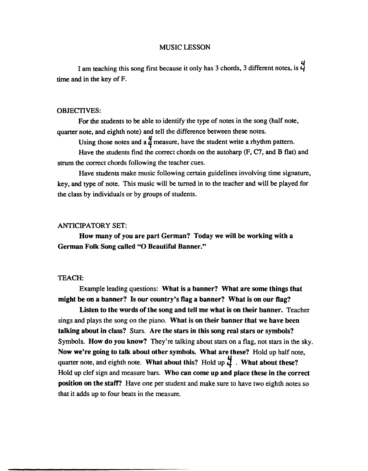## MUSIC LESSON

I am teaching this song first because it only has 3 chords, 3 different notes, is  $\frac{1}{4}$ time and in the key of F.

## OBJECTIVES:

For the students to be able to identify the type of notes in the song (half note, quarter note, and eighth note) and tell the difference between these notes.

Using those notes and a  $\frac{u}{d}$  measure, have the student write a rhythm pattern.

Have the students find the correct chords on the autoharp  $(F, C7, and B$  flat) and strum the correct chords following the teacher cues.

Have students make music following certain guidelines involving time signature, key, and type of note. This music will be turned in to the teacher and will be played for the class by individuals or by groups of students.

## ANTICIPATORY SET:

How many of you are part German? Today we will be working with a German Folk Song called "0 Beautiful Banner."

## TEACH:

Example leading questions: What is a banner? What are some things that might be on a banner? Is our country's flag a banner? What is on our flag?

Listen to the words of the song and tell me what is on their banner. Teacher sings and plays the song on the piano. What is on their banner that we have been talking about in class? Stars. Are the stars in this song real stars or symbols? Symbols. How do you know? They're talking about stars on a flag, not stars in the sky. Now we're going to talk about other symbols. What are these? Hold up half note, quarter note, and eighth note. What about this? Hold up  $\frac{1}{4}$ . What about these? Hold up clef sign and measure bars. Who can come up and place these in the correct position on the statT? Have one per student and make sure to have two eighth notes so that it adds up to four beats in the measure.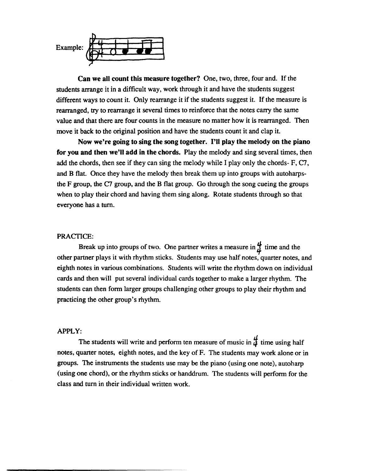

**Can we all count this measure together?** One, two, three, four and. If the students arrange it in a difficult way, work through it and have the students suggest different ways to count it. Only rearrange it if the students suggest it. If the measure is rearranged, try to rearrange it several times to reinforce that the notes carry the same value and that there are four counts in the measure no matter how it is rearranged. Then move it back to the original position and have the students count it and clap it.

**Now we're going to sing the song together. I'll play the melody on the piano for you and then we'll add in the chords.** Play the melody and sing several times, then add the chords, then see if they can sing the melody while I play only the chords-  $F, C7$ , and B flat. Once they have the melody then break them up into groups with autoharpsthe F group, the C7 group, and the B flat group. Go through the song cueing the groups when to play their chord and having them sing along. Rotate students through so that everyone has a turn.

## PRACTICE:

Break up into groups of two. One partner writes a measure in  $\frac{u}{l}$  time and the other partner plays it with rhythm sticks. Students may use half notes, quarter notes, and eighth notes in various combinations. Students will write the rhythm down on individual cards and then will put several individual cards together to make a larger rhythm. The students can then form larger groups challenging other groups to play their rhythm and practicing the other group's rhythm.

## APPLY:

The students will write and perform ten measure of music in  $\frac{d}{dt}$  time using half notes, quarter notes, eighth notes, and the key of F. The students may work alone or in groups. The instruments the students use may be the piano (using one note), autoharp (using one chord), or the rhythm sticks or handdrum. The students will perform for the class and turn in their individual written work.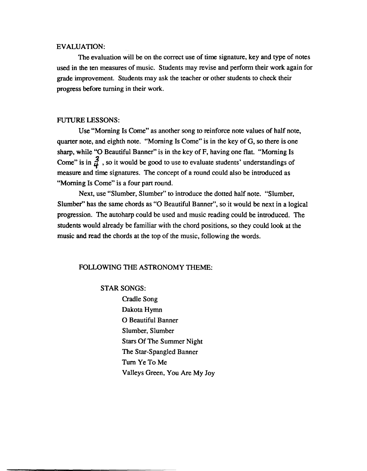### EVALUATION:

The evaluation will be on the correct use of time signature, key and type of notes used in the ten measures of music. Students may revise and perform their work again for grade improvement. Students may ask the teacher or other students to check their progress before turning in their work.

## FUTURE LESSONS:

Use "Morning Is Come" as another song to reinforce note values of half note, quarter note, and eighth note. "Morning Is Come" is in the key of G, so there is one sharp, while "O Beautiful Banner" is in the key of F, having one flat. "Morning Is Come" is in  $\frac{3}{4}$ , so it would be good to use to evaluate students' understandings of measure and time signatures. The concept of a round could also be introduced as "Morning Is Come" is a four part round.

Next, use "Slumber, Slumber" to introduce the dotted half note. "Slumber, Slumber" has the same chords as "0 Beautiful Banner", so it would be next in a logical progression. The autoharp could be used and music reading could be introduced. The students would already be familiar with the chord positions, so they could look at the music and read the chords at the top of the music, following the words.

## FOLLOWING THE ASTRONOMY THEME:

## STAR SONGS:

Cradle Song Dakota Hymn o Beautiful Banner Slumber, Slumber Stars Of The Summer Night The Star-Spangled Banner Turn YeToMe Valleys Green, You Are My Joy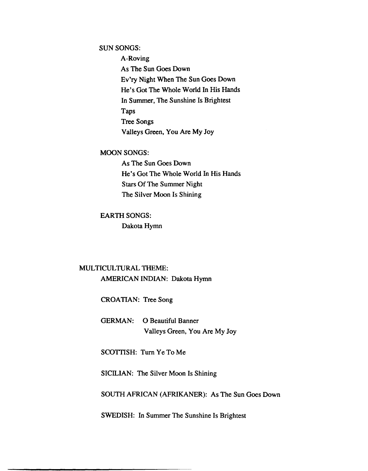## SUN SONGS:

A-Roving As The Sun Goes Down Ev'ry Night When The Sun Goes Down He's Got The Whole World In His Hands In Summer, The Sunshine Is Brightest Taps Tree Songs Valleys Green, You Are My Joy

## MOON SONGS:

As The Sun Goes Down He's Got The Whole World In His Hands Stars Of The Summer Night The Silver Moon Is Shining

## EARTH SONGS:

Dakota Hymn

## MULTICULTURAL THEME: AMERICAN INDIAN: Dakota Hymn

CROATIAN: Tree Song

GERMAN: 0 Beautiful Banner Valleys Green, You Are My Joy

SCOTTISH: Turn Ye To Me

SICILIAN: The Silver Moon Is Shining

SOUTH AFRICAN (AFRIKANER): As The Sun Goes Down

SWEDISH: In Summer The Sunshine Is Brightest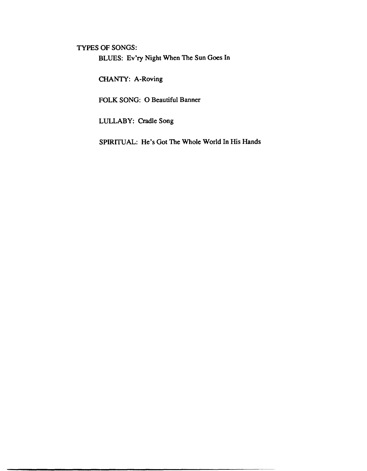TYPES OF SONGS:

BLUES: Ev'ry Night When The Sun Goes In

CHANTY: A-Roving

FOLK SONG: 0 Beautiful Banner

LULLABY: Cradle Song

SPIRITUAL: He's Got The Whole World In His Hands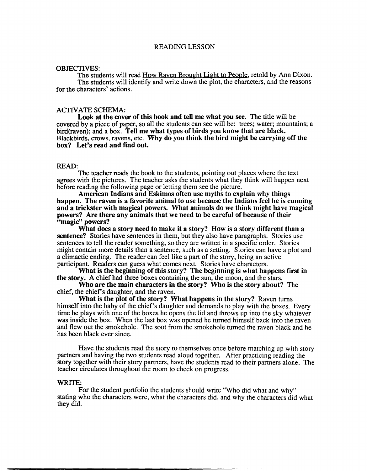## READING LESSON

#### OBJECTIVES:

The students will read How Raven Brought Light to People, retold by Ann Dixon. The students will identify and write down the plot, the characters, and the reasons for the characters' actions.

### ACTIVATE SCHEMA:

Look at the cover of this book and tell me what you see. The title will be covered by a piece of paper, so all the students can see will be: trees; water; mountains; a bird(raven); and a box. Tell me what types of birds you know that are black. Blackbirds, crows, ravens, etc. Why do you think the bird might be carrying off the box? Let's read and find out.

#### READ:

The teacher reads the book to the students, pointing out places where the text agrees with the pictures. The teacher asks the students what they think will happen next before reading the following page or letting them see the picture.

American Indians and Eskimos often use myths to explain why things happen. The raven is a favorite animal to use because the Indians feel he is cunning and a trickster with magical powers. What animals do we think might have magical powers? Are there any animals that we need to be careful of because of their ''magic'' powers?

What does a story need to make it a story? How is a story different than a sentence? Stories have sentences in them, but they also have paragraphs. Stories use sentences to tell the reader something, so they are written in a specific order. Stories might contain more details than a sentence, such as a setting. Stories can have a plot and a climactic ending. The reader can feel like a part of the story, being an active participant. Readers can guess what comes next. Stories have characters.

What is the beginning of this story? The beginning is what happens first in the story. A chief had three boxes containing the sun, the moon, and the stars.

Who are the main characters in the story? Who is the story about? The chief, the chief's daughter, and the raven.

What is the plot of the story? What happens in the story? Raven turns himself into the baby of the chief's daughter and demands to play with the boxes. Every time he plays with one of the boxes he opens the lid and throws up into the sky whatever was inside the box. When the last box was opened he turned himself back into the raven and flew out the smokehole. The soot from the smokehole turned the raven black and he has been black ever since.

Have the students read the story to themselves once before matching up with story partners and having the two students read aloud together. After practicing reading the story together with their story partners, have the students read to their partners alone. The teacher circulates throughout the room to check on progress.

## WRITE:

For the student portfolio the students should write "Who did what and why" stating who the characters were, what the characters did, and why the characters did what they did.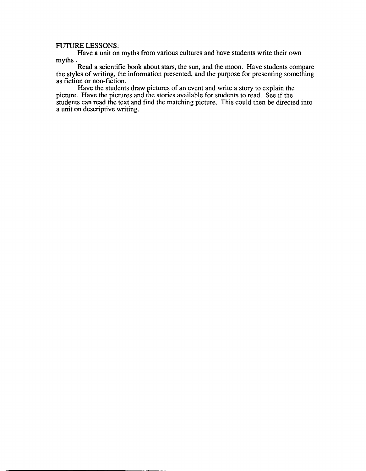## FUTIJRE LESSONS:

Have a unit on myths from various cultures and have students write their own myths.

Read a scientific book about stars, the sun, and the moon. Have students compare the styles of writing, the information presented, and the purpose for presenting something as fiction or non-fiction.

Have the students draw pictures of an event and write a story to explain the picture. Have the pictures and the stories available for students to read. See if the students can read the text and find the matching picture. This could then be directed into a unit on descriptive writing.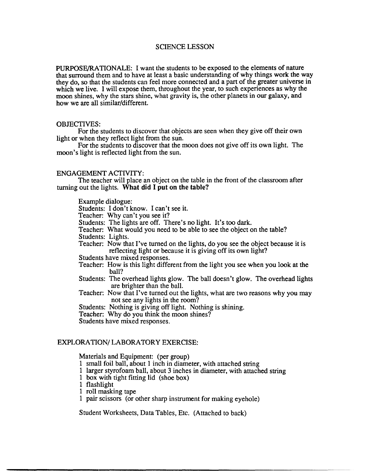## SCIENCE LESSON

PURPOSE/RA TIONALE: I want the students to be exposed to the elements of nature that surround them and to have at least a basic understanding of why things work the way they do, so that the students can feel more connected and a part of the greater universe in which we live. I will expose them, throughout the year, to such experiences as why the moon shines, why the stars shine, what gravity is, the other planets in our galaxy, and how we are all similar/different.

## OBJECTIVES:

For the students to discover that objects are seen when they give off their own light or when they reflect light from the sun.

For the students to discover that the moon does not give off its own light. The moon's light is reflected light from the sun.

## ENGAGEMENT ACTIVITY:

The teacher will place an object on the table in the front of the classroom after turning out the lights. What did I put on the table?

Example dialogue:

Students: I don't know. I can't see it.

Teacher: Why can't you see it?

Students: The lights are off. There's no light. It's too dark.

Teacher: What would you need to be able to see the object on the table?

Students: Lights.

Teacher: Now that I've turned on the lights, do you see the object because it is reflecting light or because it is giving off its own light?

Students have mixed responses.

- Teacher: How is this light different from the light you see when you look at the ball?
- Students: The overhead lights glow. The ball doesn't glow. The overhead lights are brighter than the ball.
- Teacher: Now that I've turned out the lights, what are two reasons why you may not see any lights in the room?

Students: Nothing is giving off light. Nothing is shining.

Teacher: Why do you think the moon shines?

Students have mixed responses.

## EXPLORATION/LABORATORY EXERCISE:

Materials and Equipment: (per group)

- 1 small foil ball, about 1 inch in diameter, with attached string
- 1 larger styrofoam ball, about 3 inches in diameter, with attached string
- 1 box with tight fitting lid (shoe box)
- 1 flashlight
- 1 roll masking tape
- 1 pair scissors (or other sharp instrument for making eyehole)

Student Worksheets, Data Tables, Etc. (Attached to back)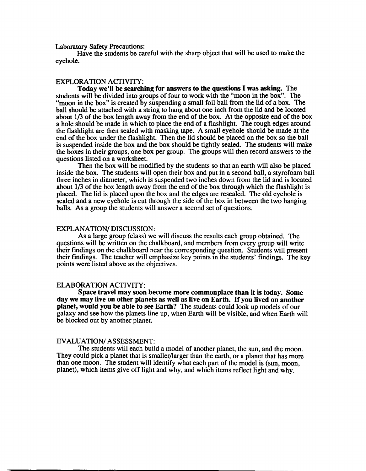Laboratory Safety Precautions:

Have the students be careful with the sharp object that will be used to make the eyehole.

#### EXPLORATION ACTIVITY:

Today we'll be searching for answers to the questions I was asking. The students will be divided into groups of four to work with the "moon in the box". The "moon in the box" is created by suspending a small foil ball from the lid of a box. The ball should be attached with a string to hang about one inch from the lid and be located about 1/3 of the box length away from the end of the box. At the opposite end of the box a hole should be made in which to place the end of a flashlight. The rough edges around the flashlight are then sealed with masking tape. A small eyehole should be made at the end of the box under the flashlight. Then the lid should be placed on the box so the ball is suspended inside the box and the box should be tightly sealed. The students will make the boxes in their groups, one box per group. The groups will then record answers to the questions listed on a worksheet.

Then the box will be modified by the students so that an earth will also be placed inside the box. The students will open their box and put in a second ball, a styrofoam ball three inches in diameter, which is suspended two inches down from the lid and is located about 1/3 of the box length away from the end of the box through which the flashlight is placed. The lid is placed upon the box and the edges are resealed. The old eyehole is sealed and a new eyehole is cut through the side of the box in between the two hanging balls. As a group the students will answer a second set of questions.

### EXPLANA TION/ DISCUSSION:

As a large group (class) we will discuss the results each group obtained. The questions will be written on the chalkboard, and members from every group will write their findings on the chalkboard near the corresponding question. Students will present their findings. The teacher will emphasize key points in the students' findings. The key points were listed above as the objectives.

## ELABORATION ACTIVITY:

Space travel may soon become more commonplace than it is today. Some day we may live on other planets as well as live on Earth. If you lived on another planet, would you be able to see Earth? The students could look up models of our galaxy and see how the planets line up, when Earth will be visible, and when Earth will be blocked out by another planet.

## EV ALUA TION/ ASSESSMENT:

The students will each build a model of another planet, the sun, and the moon. They could pick a planet that is smaller/larger than the earth, or a planet that has more than one moon. The student will identify what each part of the model is (sun, moon, planet), which items give off light and why, and which items reflect light and Why.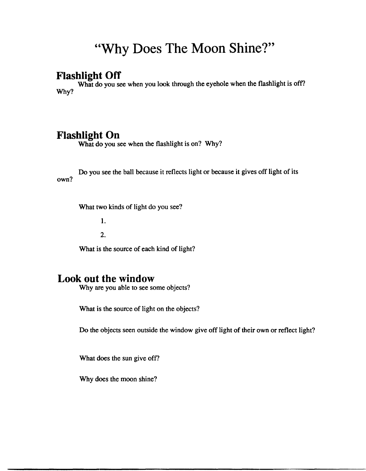# **"Why Does The Moon Shine?"**

# **Flashlight OfT**

What do you see when you look through the eyehole when the flashlight is off? Why?

# **Flashlight On**

What do you see when the flashlight is on? Why?

own? Do you see the ball because it reflects light or because it gives off light of its

What two kinds of light do you see?

1.

2.

What is the source of each kind of light?

# **Look out the window**

Why are you able to see some objects?

What is the source of light on the objects?

Do the objects seen outside the window give off light of their own or reflect light?

What does the sun give off?

Why does the moon shine?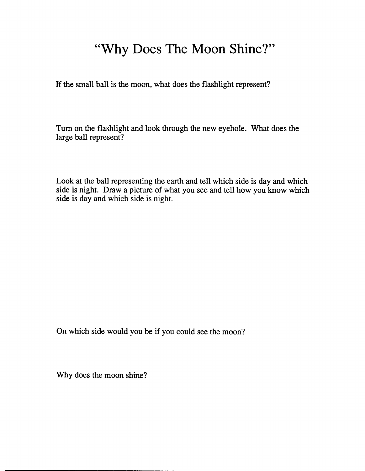# **"Why Does The Moon Shine?"**

If the small ball is the moon, what does the flashlight represent?

Tum on the flashlight and look through the new eyehole. What does the large ball represent?

Look at the ball representing the earth and tell which side is day and which side is night. Draw a picture of what you see and tell how you know which side is day and which side is night.

On which side would you be if you could see the moon?

Why does the moon shine?